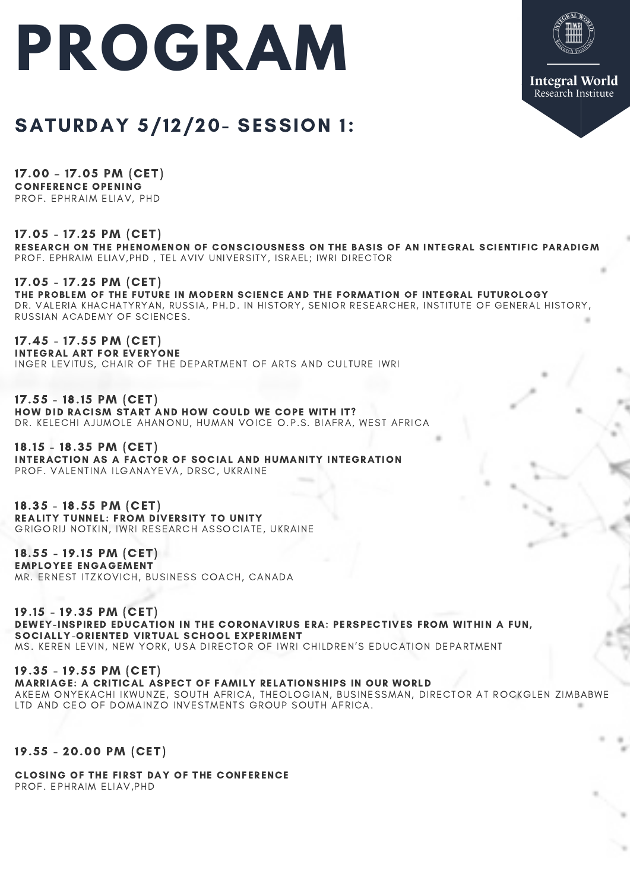# **PROGRAM**



# SATURDAY 5/12/20- SESSION 1:

17.00 – 17.05 PM (CET) CONFERENCE OPENING PROF. EPHRAIM ELIAV, PHD

17.05 - 17.25 PM (CET) RESEARCH ON THE PHENOMENON OF CONSCIOUSNESS ON THE BASIS OF AN INTEGRAL SCIENTIFIC PARADIGM PROF. EPHRAIM ELIAV, PHD, TEL AVIV UNIVERSITY, ISRAEL; IWRI DIRECTOR

17.05 - 17.25 PM (CET) THE PROBLEM OF THE FUTURE IN MODERN SCIENCE AND THE FORMATION OF INTEGRAL FUTUROLOGY DR. VALERIA KHACHATYRYAN, RUSSIA, PH.D. IN HISTORY, SENIOR RESEARCHER, INSTITUTE OF GENERAL HISTORY, RUSSIAN ACADEMY OF SCIENCES.

17.45 - 17.55 PM (CET) INTEGRAL ART FOR EVERYONE INGER LEVITUS, CHAIR OF THE DEPARTMENT OF ARTS AND CULTURE IWRI

17.55 - 18.15 PM (CET) HOW DID RACISM START AND HOW COULD WE COPE WITH IT? DR. KELECHI AJUMOLE AHANONU, HUMAN VOICE O.P.S. BIAFRA, WEST AFRICA

18.15 - 18.35 PM (CET) INTERACTION AS A FACTOR OF SOCIAL AND HUMANITY INTEGRATION PROF. VALENTINA ILGANAYEVA, DRSC, UKRAINE

18.35 - 18.55 PM (CET) REALITY TUNNEL: FROM DIVERSITY TO UNITY GRIGORIJ NOTKIN, IWRI RESEARCH ASSOCIATE, UKRAINE

18.55 - 19.15 PM (CET) EMPLOYEE ENGAGEMENT MR. ERNEST ITZKOVICH, BUSINESS COACH, CANADA

19.15 - 19.35 PM (CET) DEWEY-INSPIRED EDUCATION IN THE CORONAVIRUS ERA: PERSPECTIVES FROM WITHIN A FUN, SOCIALLY-ORIENTED VIRTUAL SCHOOL EXPERIMENT MS. KEREN LEVIN, NEW YORK, USA DIRECTOR OF IWRI CHILDREN'S EDUCATION DEPARTMENT

19.35 - 19.55 PM (CET) MARRIAGE: A CRITICAL ASPECT OF FAMILY RELATIONSHIPS IN OUR WORLD AKEEM ONYEKACHI IKWUNZE, SOUTH AFRICA, THEOLOGIAN, BUSINESSMAN, DIRECTOR AT ROCKGLEN ZIMBABWE LTD AND CEO OF DOMAINZO INVESTMENTS GROUP SOUTH AFRICA.

19.55 - 20.00 PM (CET)

CLOSING OF THE FIRST DAY OF THE CONFERENCE PROF. EPHRAIM ELIAV, PHD